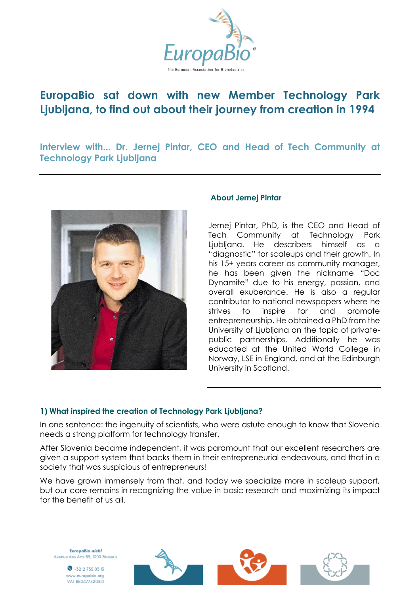

# **EuropaBio sat down with new Member Technology Park Ljubljana, to find out about their journey from creation in 1994**

**Interview with... Dr. Jernej Pintar, CEO and Head of Tech Community at Technology Park Ljubljana**



## **About Jernej Pintar**

Jernej Pintar, PhD, is the CEO and Head of Tech Community at Technology Park Ljubljana. He describers himself as a "diagnostic" for scaleups and their growth. In his 15+ years career as community manager, he has been given the nickname "Doc Dynamite" due to his energy, passion, and overall exuberance. He is also a regular contributor to national newspapers where he strives to inspire for and promote entrepreneurship. He obtained a PhD from the University of Ljubljana on the topic of privatepublic partnerships. Additionally he was educated at the United World College in Norway, LSE in England, and at the Edinburgh University in Scotland.

## **1) What inspired the creation of Technology Park Ljubljana?**

In one sentence: the ingenuity of scientists, who were astute enough to know that Slovenia needs a strong platform for technology transfer.

After Slovenia became independent, it was paramount that our excellent researchers are given a support system that backs them in their entrepreneurial endeavours, and that in a society that was suspicious of entrepreneurs!

We have grown immensely from that, and today we specialize more in scaleup support, but our core remains in recognizing the value in basic research and maximizing its impact for the benefit of us all.

EuropaBio aisbl Avenue des Arts 53, 1000 Brussels

> $\bullet$  +32 2 735 03 13 www.europabio.org VAT BE0477520310